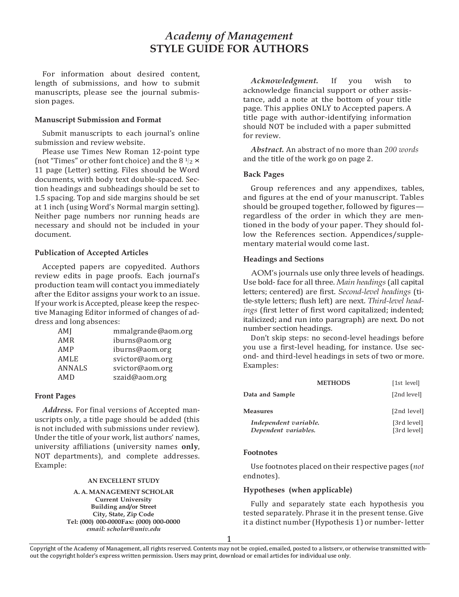# *Academy of Management* **STYLE GUIDE FOR AUTHORS**

For information about desired content, length of submissions, and how to submit manuscripts, please see the journal submission pages.

# **Manuscript Submission and Format**

Submit manuscripts to each journal's online submission and review website.

Please use Times New Roman 12-point type (not "Times" or other font choice) and the  $8 \frac{1}{2} \times$ 11 page (Letter) setting. Files should be Word documents, with body text double-spaced. Section headings and subheadings should be set to 1.5 spacing. Top and side margins should be set at 1 inch (using Word's Normal margin setting). Neither page numbers nor running heads are necessary and should not be included in your document.

# **Publication of Accepted Articles**

Accepted papers are copyedited. Authors review edits in page proofs. Each journal's production team will contact you immediately after the Editor assigns your work to an issue. If your work is Accepted, please keep the respective Managing Editor informed of changes of address and long absences:

| AMI           | mmalgrande@aom.org |  |
|---------------|--------------------|--|
| AMR           | iburns@aom.org     |  |
| AMP           | iburns@aom.org     |  |
| AMLE          | svictor@aom.org    |  |
| <b>ANNALS</b> | svictor@aom.org    |  |
| AMD           | szaid@aom.org      |  |

# **Front Pages**

*Address.* For final versions of Accepted manuscripts only, a title page should be added (this is not included with submissions under review). Under the title of your work, list authors' names, university affiliations (university names **only**, NOT departments), and complete addresses. Example:

#### **AN EXCELLENT STUDY**

**A. A. MANAGEMENT SCHOLAR Current University Building and/or Street City, State, Zip Code Tel: (000) 000-0000Fax: (000) 000-0000** *email[: scholar@univ.edu](mailto:scholar@univ.edu)*

*Acknowledgment.* If you wish to acknowledge financial support or other assistance, add a note at the bottom of your title page. This applies ONLY to Accepted papers. A title page with author-identifying information should NOT be included with a paper submitted for review.

*Abstract.* An abstract of no more than *200 words* and the title of the work go on page 2.

#### **Back Pages**

Group references and any appendixes, tables, and figures at the end of your manuscript. Tables should be grouped together, followed by figures regardless of the order in which they are mentioned in the body of your paper. They should follow the References section. Appendices/supplementary material would come last.

#### **Headings and Sections**

AOM's journals use only three levels of headings. Use bold-face for all three. *Main headings* (all capital letters; centered) are first. *Second-level headings* (title-style letters; flush left) are next. *Third-level headings* (first letter of first word capitalized; indented; italicized; and run into paragraph) are next. Do not number section headings.

Don't skip steps: no second-level headings before you use a first-level heading, for instance. Use second- and third-level headings in sets of two or more. Examples:

|                                               | <b>METHODS</b> | [1st level]                |
|-----------------------------------------------|----------------|----------------------------|
| Data and Sample                               |                | [2nd level]                |
| Measures                                      |                | [2nd level]                |
| Independent variable.<br>Dependent variables. |                | [3rd level]<br>[3rd level] |

#### **Footnotes**

Use footnotes placed on their respective pages (*not*  endnotes).

## **Hypotheses (when applicable)**

Fully and separately state each hypothesis you tested separately. Phrase it in the present tense. Give it a distinct number (Hypothesis 1) or number- letter

Copyright of the Academy of Management, all rights reserved. Contents may not be copied, emailed, posted to a listserv, or otherwise transmitted without the copyright holder's express written permission. Users may print, download or email articles for individual use only.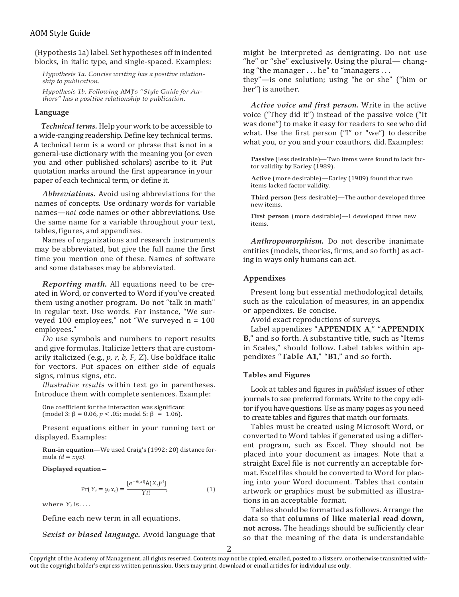# AOM Style Guide

(Hypothesis 1a) label. Set hypotheses off in indented blocks, in italic type, and single-spaced. Examples:

*Hypothesis 1a. Concise writing has a positive relationship to publication.*

*Hypothesis 1b. Following* AMJ'*s "Style Guide for Authors" has a positive relationship to publication.*

#### **Language**

*Technical terms.* Help your work to be accessible to a wide-ranging readership. Define key technical terms. A technical term is a word or phrase that is not in a general-use dictionary with the meaning you (or even you and other published scholars) ascribe to it. Put quotation marks around the first appearance in your paper of each technical term, or define it.

*Abbreviations.* Avoid using abbreviations for the names of concepts. Use ordinary words for variable names—*not* code names or other abbreviations. Use the same name for a variable throughout your text, tables, figures, and appendixes.

Names of organizations and research instruments may be abbreviated, but give the full name the first time you mention one of these. Names of software and some databases may be abbreviated.

*Reporting math.* All equations need to be created in Word, or converted to Word if you've created them using another program. Do not "talk in math" in regular text. Use words. For instance, "We surveyed 100 employees," not "We surveyed n = 100 employees."

*Do* use symbols and numbers to report results and give formulas. Italicize letters that are customarily italicized (e.g., *p, r, b, F, Z*). Use boldface italic for vectors. Put spaces on either side of equals signs, minus signs, etc.

*Illustrative results* within text go in parentheses. Introduce them with complete sentences. Example:

One coefficient for the interaction was significant  $\text{(model 3: } \beta = 0.06, p < .05; \text{ model 5: } \beta = 1.06\text{).}$ 

Present equations either in your running text or displayed. Examples:

**Run-in equation**—We used Craig's (1992: 20) distance formula  $(d = xyz)$ .

**Displayed equation—**

$$
Pr(Y_t = y_t x_t) = \frac{[e^{-A(xt)}A(X_t)^{y_t}]}{Yt!},
$$
\n(1)

where  $Y_t$  is. . . .

Define each new term in all equations.

*Sexist or biased language.* Avoid language that

might be interpreted as denigrating. Do not use "he" or "she" exclusively. Using the plural— changing "the manager . . . he" to "managers . . .

they"—is one solution; using "he or she" ("him or her") is another.

*Active voice and first person.* Write in the active voice ("They did it") instead of the passive voice ("It was done") to make it easy for readers to see who did what. Use the first person ("I" or "we") to describe what you, or you and your coauthors, did. Examples:

**Passive** (less desirable)—Two items were found to lack factor validity by Earley (1989).

**Active** (more desirable)—Earley (1989) found that two items lacked factor validity.

**Third person** (less desirable)—The author developed three new items.

**First person** (more desirable)—I developed three new items.

*Anthropomorphism.* Do not describe inanimate entities (models, theories, firms, and so forth) as acting in ways only humans can act.

## **Appendixes**

Present long but essential methodological details, such as the calculation of measures, in an appendix or appendixes. Be concise.

Avoid exact reproductions of surveys.

Label appendixes "**APPENDIX A**," "**APPENDIX B**," and so forth. A substantive title, such as "Items in Scales," should follow. Label tables within appendixes "**Table A1**," "**B1**," and so forth.

#### **Tables and Figures**

Look at tables and figures in *published* issues of other journals to see preferred formats. Write to the copy editor if you have questions. Use as many pages as you need to create tables and figures that match our formats.

Tables must be created using Microsoft Word, or converted to Word tables if generated using a different program, such as Excel. They should not be placed into your document as images. Note that a straight Excel file is not currently an acceptable format. Excel files should be converted to Word for placing into your Word document. Tables that contain artwork or graphics must be submitted as illustrations in an acceptable format.

Tables should be formatted as follows. Arrange the data so that **columns of like material read down, not across.** The headings should be sufficiently clear so that the meaning of the data is understandable

2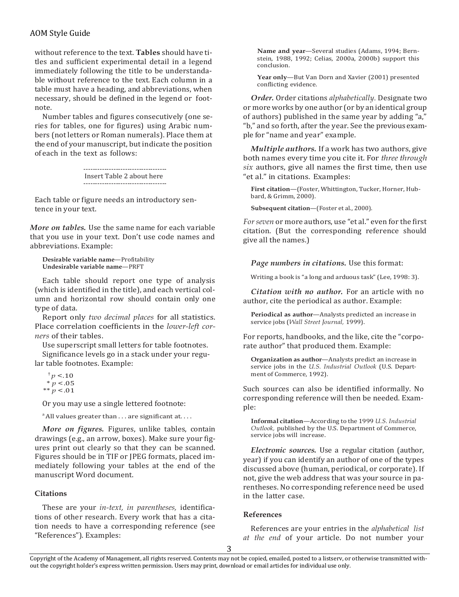# AOM Style Guide

without reference to the text. **Tables** should have titles and sufficient experimental detail in a legend immediately following the title to be understandable without reference to the text. Each column in a table must have a heading, and abbreviations, when necessary, should be defined in the legend or footnote.

Number tables and figures consecutively (one series for tables, one for figures) using Arabic numbers (not letters or Roman numerals). Place them at the end of your manuscript, but indicate the position of each in the text as follows:

> Insert Table 2 about here ------------------------------------

Each table or figure needs an introductory sentence in your text.

*More on tables.* Use the same name for each variable that you use in your text. Don't use code names and abbreviations. Example:

```
Desirable variable name—Profitability 
Undesirable variable name—PRFT
```
Each table should report one type of analysis (which is identified in the title), and each vertical column and horizontal row should contain only one type of data.

Report only *two decimal places* for all statistics. Place correlation coefficients in the *lower-left corners* of their tables.

Use superscript small letters for table footnotes.

Significance levels go in a stack under your regular table footnotes. Example:

 $^{\dagger}p < 10$  $* p < .05$  $** p < .01$ 

Or you may use a single lettered footnote:

 $^{\alpha}$  All values greater than  $\dots$  are significant at...

*More on figures.* Figures, unlike tables, contain drawings (e.g., an arrow, boxes). Make sure your figures print out clearly so that they can be scanned. Figures should be in TIF or JPEG formats, placed immediately following your tables at the end of the manuscript Word document.

#### **Citations**

These are your *in-text, in parentheses,* identifications of other research. Every work that has a citation needs to have a corresponding reference (see "References"). Examples:

**Name and year**—Several studies (Adams, 1994; Bernstein, 1988, 1992; Celias, 2000a, 2000b) support this conclusion.

**Year only**—But Van Dorn and Xavier (2001) presented conflicting evidence.

*Order.* Order citations *alphabetically.* Designate two or more works by one author (or by anidentical group of authors) published in the same year by adding "a," "b," and so forth, after the year. See the previous example for "name and year" example.

*Multiple authors.* If a work has two authors, give both names every time you cite it. For *three through six* authors, give all names the first time, then use "et al." in citations. Examples:

**First citation**—(Foster, Whittington, Tucker, Horner, Hubbard, & Grimm, 2000).

**Subsequent citation**—(Foster et al., 2000).

*For seven* or more authors, use "et al." even for the first citation. (But the corresponding reference should give all the names.)

*Page numbers in citations.* Use this format:

Writing a book is "a long and arduous task" (Lee, 1998: 3).

*Citation with no author.* For an article with no author, cite the periodical as author. Example:

**Periodical as author**—Analysts predicted an increase in service jobs (*Wall Street Journal,* 1999).

For reports, handbooks, and the like, cite the "corporate author" that produced them. Example:

**Organization as author**—Analysts predict an increase in service jobs in the *U.S. Industrial Outlook* (U.S. Department of Commerce, 1992).

Such sources can also be identified informally. No corresponding reference will then be needed. Example:

**Informal citation**—According to the 1999 *U.S. Industrial Outlook,* published by the U.S. Department of Commerce, service jobs will increase.

*Electronic sources.* Use a regular citation (author, year) if you can identify an author of one of the types discussed above (human, periodical, or corporate). If not, give the web address that was your source in parentheses. No corresponding reference need be used in the latter case.

#### **References**

References are your entries in the *alphabetical list at the end* of your article. Do not number your

3